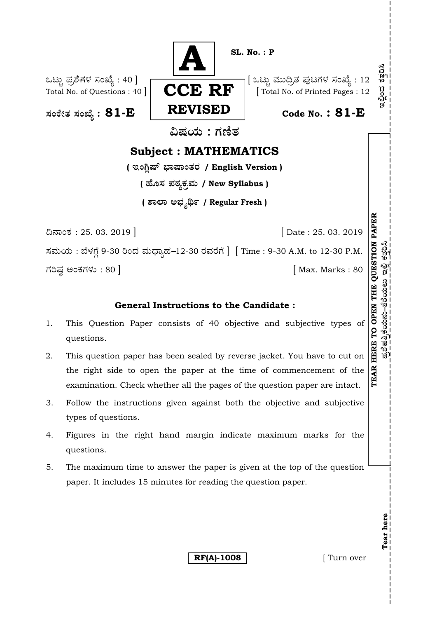

## **General Instructions to the Candidate :**

- 1. This Question Paper consists of 40 objective and subjective types of questions.
- 2. This question paper has been sealed by reverse jacket. You have to cut on the right side to open the paper at the time of commencement of the examination. Check whether all the pages of the question paper are intact.
- 3. Follow the instructions given against both the objective and subjective types of questions.
- 4. Figures in the right hand margin indicate maximum marks for the questions.
- 5. The maximum time to answer the paper is given at the top of the question paper. It includes 15 minutes for reading the question paper.

**RF(A)-1008** [ Turn over

**Tear here** 

Tear here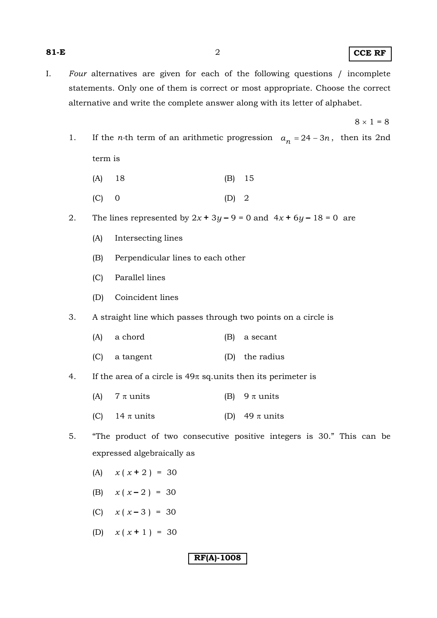- I. *Four* alternatives are given for each of the following questions / incomplete statements. Only one of them is correct or most appropriate. Choose the correct alternative and write the complete answer along with its letter of alphabet.
- $8 \times 1 = 8$ 
	- 1. If the *n*-th term of an arithmetic progression  $a_n = 24 3n$ , then its 2nd term is
		- (A) 18 (B) 15
		- $(C)$  0  $(D)$  2
	- 2. The lines represented by  $2x + 3y 9 = 0$  and  $4x + 6y 18 = 0$  are
		- (A) Intersecting lines
		- (B) Perpendicular lines to each other
		- (C) Parallel lines
		- (D) Coincident lines
	- 3. A straight line which passes through two points on a circle is
		- (A) a chord (B) a secant
		- (C) a tangent (D) the radius
	- 4. If the area of a circle is  $49\pi$  sq.units then its perimeter is
		- (A)  $7 \pi$  units (B)  $9 \pi$  units
		- (C)  $14 \pi$  units (D)  $49 \pi$  units
	- 5. "The product of two consecutive positive integers is 30." This can be expressed algebraically as
		- (A)  $x(x+2) = 30$
		- (B)  $x(x-2) = 30$
		- (C)  $x(x-3) = 30$
		- (D)  $x(x + 1) = 30$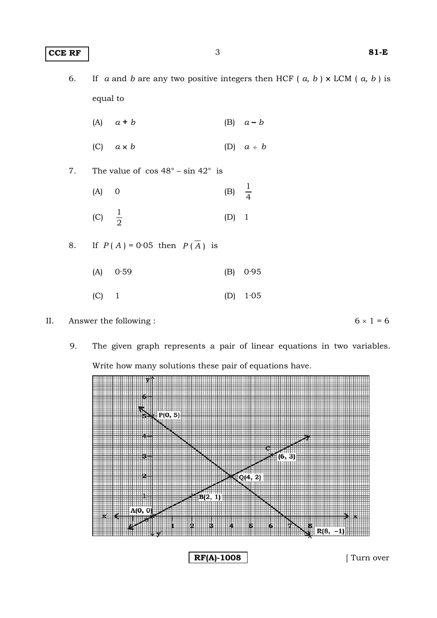- 6. If *a* and *b* are any two positive integers then HCF (*a, b*)  $\times$  LCM (*a, b*) is equal to
- (A) *a* **+** *b* (B) *a* **–** *b*
	- (C)  $a \times b$  (D)  $a \div b$
- 7. The value of  $\cos 48^\circ \sin 42^\circ$  is
- (A) 0 (B)  $\frac{1}{4}$  $\frac{1}{4}$ (C)  $\frac{1}{2}$  $\frac{1}{2}$  (D) 1
- 8. If  $P(A) = 0.05$  then  $P(\overline{A})$  is
	- (A) 0·59 (B) 0·95
- $(C)$  1 (D) 1·05

II. Answer the following :  $6 \times 1 = 6$ 

9. The given graph represents a pair of linear equations in two variables. Write how many solutions these pair of equations have.



**RF(A)-1008** [ Turn over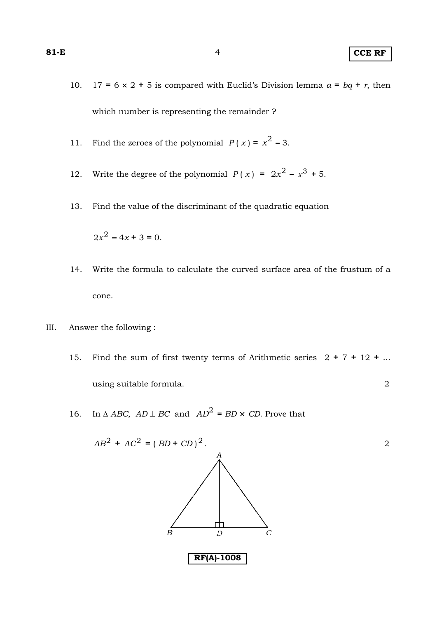- 10. 17 =  $6 \times 2 + 5$  is compared with Euclid's Division lemma  $a = bq + r$ , then which number is representing the remainder ?
- 11. Find the zeroes of the polynomial  $P(x) = x^2 3$ .
- 12. Write the degree of the polynomial  $P(x) = 2x^2 x^3 + 5$ .
- 13. Find the value of the discriminant of the quadratic equation

 $2x^2 - 4x + 3 = 0$ .

- 14. Write the formula to calculate the curved surface area of the frustum of a cone.
- III. Answer the following :
	- 15. Find the sum of first twenty terms of Arithmetic series 2 **+** 7 **+** 12 **+** ... using suitable formula. 2
	- 16. In  $\triangle ABC$ ,  $AD \perp BC$  and  $AD^2 = BD \times CD$ . Prove that

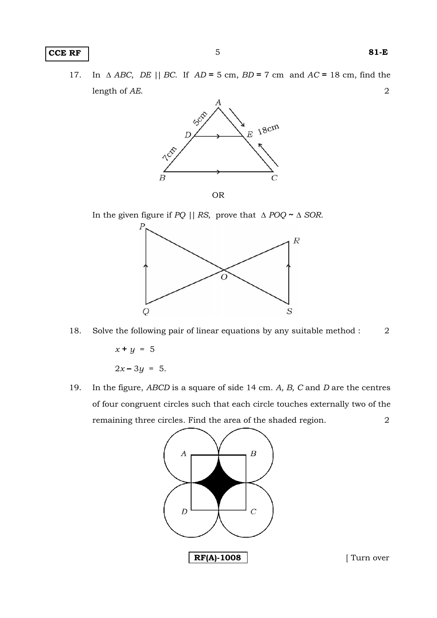#### **CCE RF** 81-E

 17. In Δ *ABC*, *DE* || *BC*. If *AD* **=** 5 cm, *BD* **=** 7 cm and *AC* **=** 18 cm, find the length of *AE*. 2



In the given figure if *PQ* || *RS*, prove that Δ *POQ* **~** Δ *SOR*.



18. Solve the following pair of linear equations by any suitable method : 2

 $x + y = 5$  $2x - 3y = 5$ .

 19. In the figure, *ABCD* is a square of side 14 cm. *A, B, C* and *D* are the centres of four congruent circles such that each circle touches externally two of the remaining three circles. Find the area of the shaded region. 2

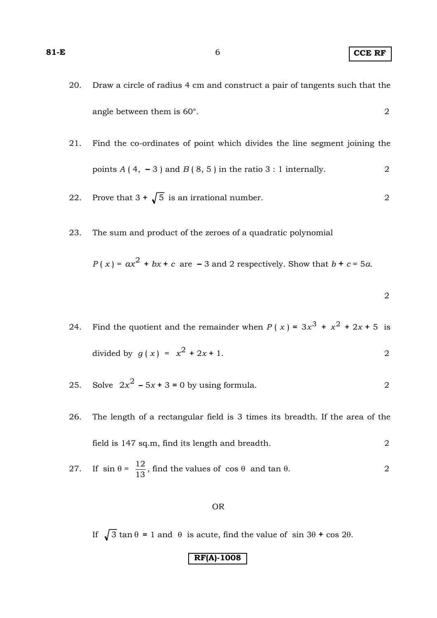20. Draw a circle of radius 4 cm and construct a pair of tangents such that the angle between them is 60°. 2

 21. Find the co-ordinates of point which divides the line segment joining the points  $A(4, -3)$  and  $B(8, 5)$  in the ratio 3 : 1 internally. 2

- 22. Prove that  $3 + \sqrt{5}$  is an irrational number. 2
- 23. The sum and product of the zeroes of a quadratic polynomial

$$
P(x) = ax^2 + bx + c
$$
 are -3 and 2 respectively. Show that  $b + c = 5a$ .

 $2\,$ 

- 24. Find the quotient and the remainder when  $P(x) = 3x^3 + x^2 + 2x + 5$  is divided by  $q(x) = x^2 + 2x + 1$ .
- 25. Solve  $2x^2 5x + 3 = 0$  by using formula. 2
- 26. The length of a rectangular field is 3 times its breadth. If the area of the field is 147 sq.m, find its length and breadth. 2

27. If 
$$
\sin \theta = \frac{12}{13}
$$
, find the values of  $\cos \theta$  and  $\tan \theta$ .

#### OR

If  $\sqrt{3} \tan \theta = 1$  and  $\theta$  is acute, find the value of sin 3 $\theta$  + cos 2 $\theta$ .

**RF(A)-1008**

**81-E** 6 **CCE RF**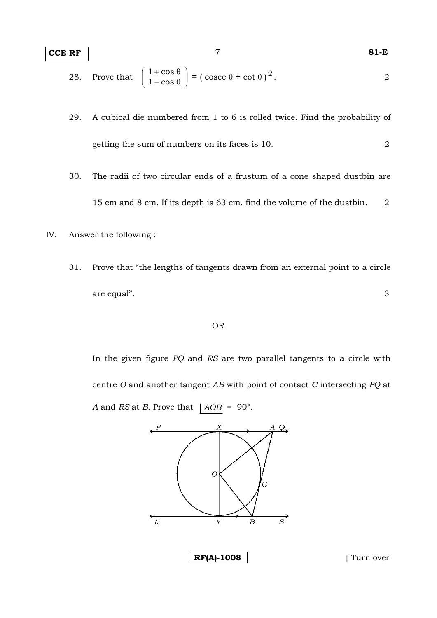#### **CCE RF** 7 **81-E**

28. Prove that 
$$
\left(\frac{1+\cos\theta}{1-\cos\theta}\right) = (\csc\theta + \cot\theta)^2
$$
.

- 29. A cubical die numbered from 1 to 6 is rolled twice. Find the probability of getting the sum of numbers on its faces is 10. 2
- 30. The radii of two circular ends of a frustum of a cone shaped dustbin are 15 cm and 8 cm. If its depth is 63 cm, find the volume of the dustbin. 2
- IV. Answer the following :
	- 31. Prove that "the lengths of tangents drawn from an external point to a circle are equal". 3

#### OR

 In the given figure *PQ* and *RS* are two parallel tangents to a circle with centre *O* and another tangent *AB* with point of contact *C* intersecting *PQ* at *A* and *RS* at *B*. Prove that  $|AOB = 90^{\circ}$ .

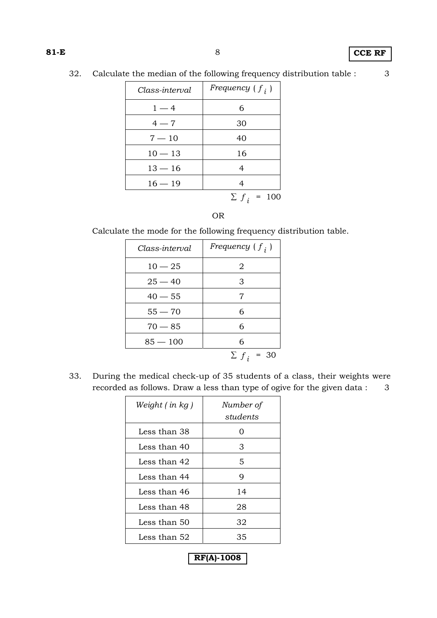## **81-E** 8 **CCE RF**

32. Calculate the median of the following frequency distribution table : 3

| Class-interval | Frequency $(f_i)$ |
|----------------|-------------------|
| $1 - 4$        | 6                 |
| $4 - 7$        | 30                |
| $7 - 10$       | 40                |
| $10 - 13$      | 16                |
| $13 - 16$      | 4                 |
| $16 - 19$      |                   |
|                | 100<br>$\sum f_i$ |

## OR

Calculate the mode for the following frequency distribution table.

| Class-interval | Frequency $(f_i)$ |
|----------------|-------------------|
| $10 - 25$      | 2                 |
| $25 - 40$      | 3                 |
| $40 - 55$      | 7                 |
| $55 - 70$      | 6                 |
| $70 - 85$      | 6                 |
| $85 - 100$     | 6                 |
|                | $\sum f_i$<br>30  |

 33. During the medical check-up of 35 students of a class, their weights were recorded as follows. Draw a less than type of ogive for the given data : 3

| Weight $($ in $kg$ ) | Number of<br>students |
|----------------------|-----------------------|
| Less than 38         | ∩                     |
| Less than 40         | З                     |
| Less than 42         | 5                     |
| Less than 44         | 9                     |
| Less than 46         | 14                    |
| Less than 48         | 28                    |
| Less than 50         | 32                    |
| Less than 52         | 35                    |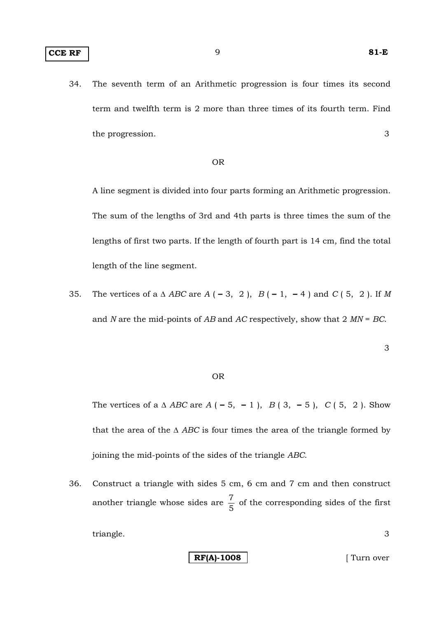34. The seventh term of an Arithmetic progression is four times its second term and twelfth term is 2 more than three times of its fourth term. Find the progression. 3

#### OR

 A line segment is divided into four parts forming an Arithmetic progression. The sum of the lengths of 3rd and 4th parts is three times the sum of the lengths of first two parts. If the length of fourth part is 14 cm, find the total length of the line segment.

 35. The vertices of a Δ *ABC* are *A* ( **–** 3, 2 ), *B* ( **–** 1, **–** 4 ) and *C* ( 5, 2 ). If *M* and *N* are the mid-points of *AB* and *AC* respectively, show that 2 *MN* = *BC*.

3

#### OR

 The vertices of a Δ *ABC* are *A* ( **–** 5, **–** 1 ), *B* ( 3, **–** 5 ), *C* ( 5, 2 ). Show that the area of the  $\triangle$  *ABC* is four times the area of the triangle formed by joining the mid-points of the sides of the triangle *ABC*.

 36. Construct a triangle with sides 5 cm, 6 cm and 7 cm and then construct another triangle whose sides are  $\frac{7}{5}$  of the corresponding sides of the first triangle. 3

**RF(A)-1008** [ Turn over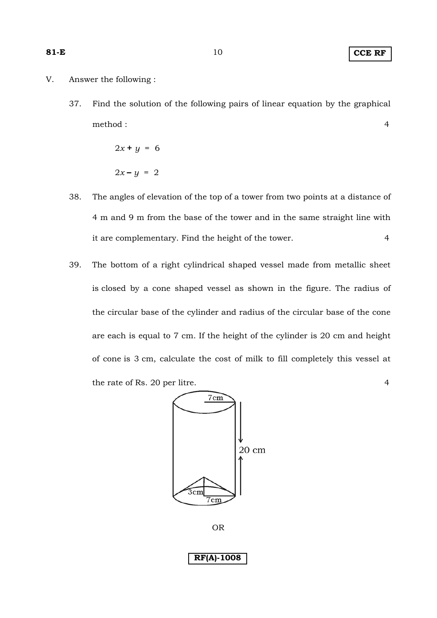### **81-E** 10 **CCE RF**

- V. Answer the following :
	- 37. Find the solution of the following pairs of linear equation by the graphical method : 4

 $2x + y = 6$  $2x - y = 2$ 

- 38. The angles of elevation of the top of a tower from two points at a distance of 4 m and 9 m from the base of the tower and in the same straight line with it are complementary. Find the height of the tower. 4
- 39. The bottom of a right cylindrical shaped vessel made from metallic sheet is closed by a cone shaped vessel as shown in the figure. The radius of the circular base of the cylinder and radius of the circular base of the cone are each is equal to 7 cm. If the height of the cylinder is 20 cm and height of cone is 3 cm, calculate the cost of milk to fill completely this vessel at the rate of Rs. 20 per litre. 4



OR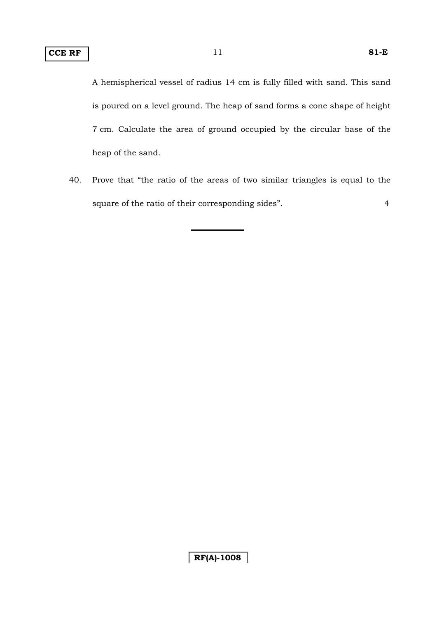A hemispherical vessel of radius 14 cm is fully filled with sand. This sand is poured on a level ground. The heap of sand forms a cone shape of height 7 cm. Calculate the area of ground occupied by the circular base of the heap of the sand.

 40. Prove that "the ratio of the areas of two similar triangles is equal to the square of the ratio of their corresponding sides". 4